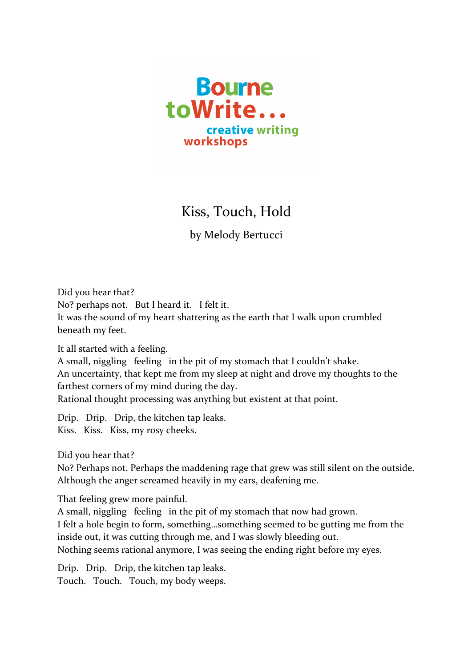

## Kiss, Touch, Hold

by Melody Bertucci

Did you hear that? No? perhaps not. But I heard it. I felt it. It was the sound of my heart shattering as the earth that I walk upon crumbled beneath my feet.

It all started with a feeling.

A small, niggling feeling in the pit of my stomach that I couldn't shake. An uncertainty, that kept me from my sleep at night and drove my thoughts to the farthest corners of my mind during the day. Rational thought processing was anything but existent at that point.

Drip. Drip. Drip, the kitchen tap leaks. Kiss. Kiss. Kiss, my rosy cheeks.

Did you hear that?

No? Perhaps not. Perhaps the maddening rage that grew was still silent on the outside. Although the anger screamed heavily in my ears, deafening me.

That feeling grew more painful.

A small, niggling feeling in the pit of my stomach that now had grown. I felt a hole begin to form, something...something seemed to be gutting me from the inside out, it was cutting through me, and I was slowly bleeding out. Nothing seems rational anymore, I was seeing the ending right before my eyes.

Drip. Drip. Drip, the kitchen tap leaks. Touch. Touch. Touch, my body weeps.